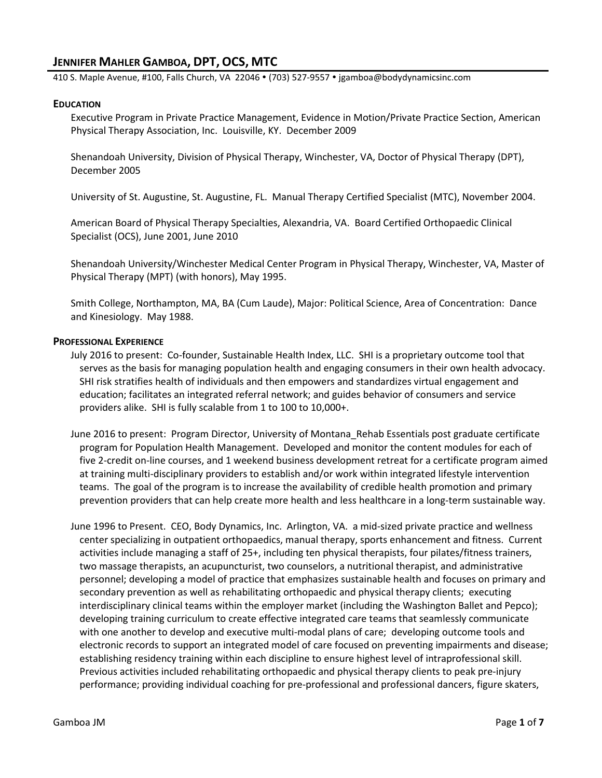# **JENNIFER MAHLER GAMBOA, DPT, OCS, MTC**

410 S. Maple Avenue, #100, Falls Church, VA 22046 • (703) 527-9557 • jgamboa@bodydynamicsinc.com

#### **EDUCATION**

Executive Program in Private Practice Management, Evidence in Motion/Private Practice Section, American Physical Therapy Association, Inc. Louisville, KY. December 2009

Shenandoah University, Division of Physical Therapy, Winchester, VA, Doctor of Physical Therapy (DPT), December 2005

University of St. Augustine, St. Augustine, FL. Manual Therapy Certified Specialist (MTC), November 2004.

American Board of Physical Therapy Specialties, Alexandria, VA. Board Certified Orthopaedic Clinical Specialist (OCS), June 2001, June 2010

Shenandoah University/Winchester Medical Center Program in Physical Therapy, Winchester, VA, Master of Physical Therapy (MPT) (with honors), May 1995.

Smith College, Northampton, MA, BA (Cum Laude), Major: Political Science, Area of Concentration: Dance and Kinesiology. May 1988.

#### **PROFESSIONAL EXPERIENCE**

- July 2016 to present: Co-founder, Sustainable Health Index, LLC. SHI is a proprietary outcome tool that serves as the basis for managing population health and engaging consumers in their own health advocacy. SHI risk stratifies health of individuals and then empowers and standardizes virtual engagement and education; facilitates an integrated referral network; and guides behavior of consumers and service providers alike. SHI is fully scalable from 1 to 100 to 10,000+.
- June 2016 to present: Program Director, University of Montana\_Rehab Essentials post graduate certificate program for Population Health Management. Developed and monitor the content modules for each of five 2-credit on-line courses, and 1 weekend business development retreat for a certificate program aimed at training multi-disciplinary providers to establish and/or work within integrated lifestyle intervention teams. The goal of the program is to increase the availability of credible health promotion and primary prevention providers that can help create more health and less healthcare in a long-term sustainable way.
- June 1996 to Present. CEO, Body Dynamics, Inc. Arlington, VA. a mid-sized private practice and wellness center specializing in outpatient orthopaedics, manual therapy, sports enhancement and fitness. Current activities include managing a staff of 25+, including ten physical therapists, four pilates/fitness trainers, two massage therapists, an acupuncturist, two counselors, a nutritional therapist, and administrative personnel; developing a model of practice that emphasizes sustainable health and focuses on primary and secondary prevention as well as rehabilitating orthopaedic and physical therapy clients; executing interdisciplinary clinical teams within the employer market (including the Washington Ballet and Pepco); developing training curriculum to create effective integrated care teams that seamlessly communicate with one another to develop and executive multi-modal plans of care; developing outcome tools and electronic records to support an integrated model of care focused on preventing impairments and disease; establishing residency training within each discipline to ensure highest level of intraprofessional skill. Previous activities included rehabilitating orthopaedic and physical therapy clients to peak pre-injury performance; providing individual coaching for pre-professional and professional dancers, figure skaters,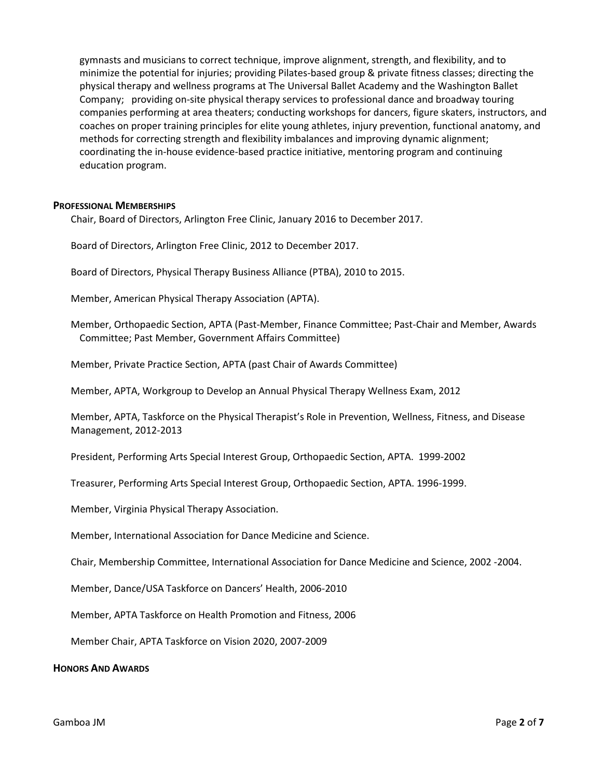gymnasts and musicians to correct technique, improve alignment, strength, and flexibility, and to minimize the potential for injuries; providing Pilates-based group & private fitness classes; directing the physical therapy and wellness programs at The Universal Ballet Academy and the Washington Ballet Company; providing on-site physical therapy services to professional dance and broadway touring companies performing at area theaters; conducting workshops for dancers, figure skaters, instructors, and coaches on proper training principles for elite young athletes, injury prevention, functional anatomy, and methods for correcting strength and flexibility imbalances and improving dynamic alignment; coordinating the in-house evidence-based practice initiative, mentoring program and continuing education program.

## **PROFESSIONAL MEMBERSHIPS**

Chair, Board of Directors, Arlington Free Clinic, January 2016 to December 2017.

Board of Directors, Arlington Free Clinic, 2012 to December 2017.

Board of Directors, Physical Therapy Business Alliance (PTBA), 2010 to 2015.

Member, American Physical Therapy Association (APTA).

Member, Orthopaedic Section, APTA (Past-Member, Finance Committee; Past-Chair and Member, Awards Committee; Past Member, Government Affairs Committee)

Member, Private Practice Section, APTA (past Chair of Awards Committee)

Member, APTA, Workgroup to Develop an Annual Physical Therapy Wellness Exam, 2012

Member, APTA, Taskforce on the Physical Therapist's Role in Prevention, Wellness, Fitness, and Disease Management, 2012-2013

President, Performing Arts Special Interest Group, Orthopaedic Section, APTA. 1999-2002

Treasurer, Performing Arts Special Interest Group, Orthopaedic Section, APTA. 1996-1999.

Member, Virginia Physical Therapy Association.

Member, International Association for Dance Medicine and Science.

Chair, Membership Committee, International Association for Dance Medicine and Science, 2002 -2004.

Member, Dance/USA Taskforce on Dancers' Health, 2006-2010

Member, APTA Taskforce on Health Promotion and Fitness, 2006

Member Chair, APTA Taskforce on Vision 2020, 2007-2009

### **HONORS AND AWARDS**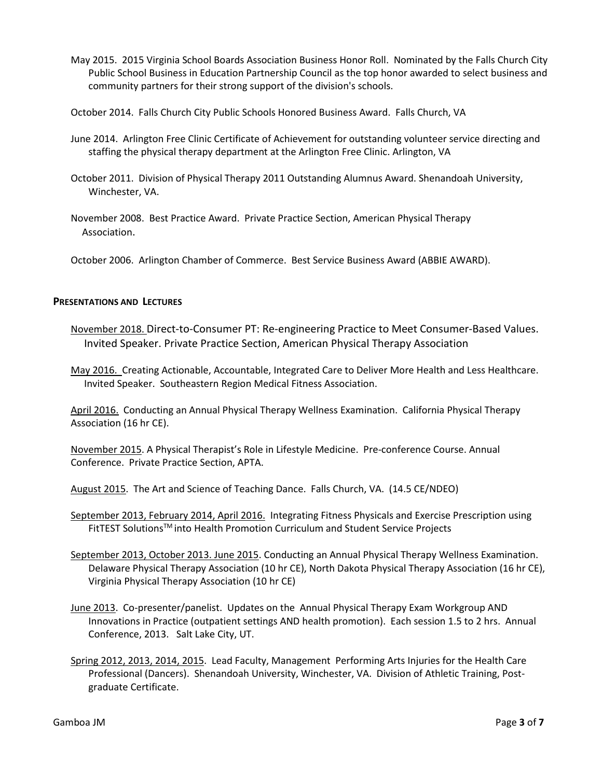May 2015. 2015 Virginia School Boards Association Business Honor Roll. Nominated by the Falls Church City Public School Business in Education Partnership Council as the top honor awarded to select business and community partners for their strong support of the division's schools.

October 2014. Falls Church City Public Schools Honored Business Award. Falls Church, VA

- June 2014. Arlington Free Clinic Certificate of Achievement for outstanding volunteer service directing and staffing the physical therapy department at the Arlington Free Clinic. Arlington, VA
- October 2011. Division of Physical Therapy 2011 Outstanding Alumnus Award. Shenandoah University, Winchester, VA.
- November 2008. Best Practice Award. Private Practice Section, American Physical Therapy Association.

October 2006. Arlington Chamber of Commerce. Best Service Business Award (ABBIE AWARD).

## **PRESENTATIONS AND LECTURES**

November 2018. Direct-to-Consumer PT: Re-engineering Practice to Meet Consumer-Based Values. Invited Speaker. Private Practice Section, American Physical Therapy Association

May 2016. Creating Actionable, Accountable, Integrated Care to Deliver More Health and Less Healthcare. Invited Speaker. Southeastern Region Medical Fitness Association.

April 2016. Conducting an Annual Physical Therapy Wellness Examination. California Physical Therapy Association (16 hr CE).

November 2015. A Physical Therapist's Role in Lifestyle Medicine. Pre-conference Course. Annual Conference. Private Practice Section, APTA.

August 2015. The Art and Science of Teaching Dance. Falls Church, VA. (14.5 CE/NDEO)

September 2013, February 2014, April 2016. Integrating Fitness Physicals and Exercise Prescription using FitTEST Solutions™ into Health Promotion Curriculum and Student Service Projects

- September 2013, October 2013. June 2015. Conducting an Annual Physical Therapy Wellness Examination. Delaware Physical Therapy Association (10 hr CE), North Dakota Physical Therapy Association (16 hr CE), Virginia Physical Therapy Association (10 hr CE)
- June 2013. Co-presenter/panelist. Updates on the Annual Physical Therapy Exam Workgroup AND Innovations in Practice (outpatient settings AND health promotion). Each session 1.5 to 2 hrs. Annual Conference, 2013. Salt Lake City, UT.
- Spring 2012, 2013, 2014, 2015. Lead Faculty, Management Performing Arts Injuries for the Health Care Professional (Dancers). Shenandoah University, Winchester, VA. Division of Athletic Training, Postgraduate Certificate.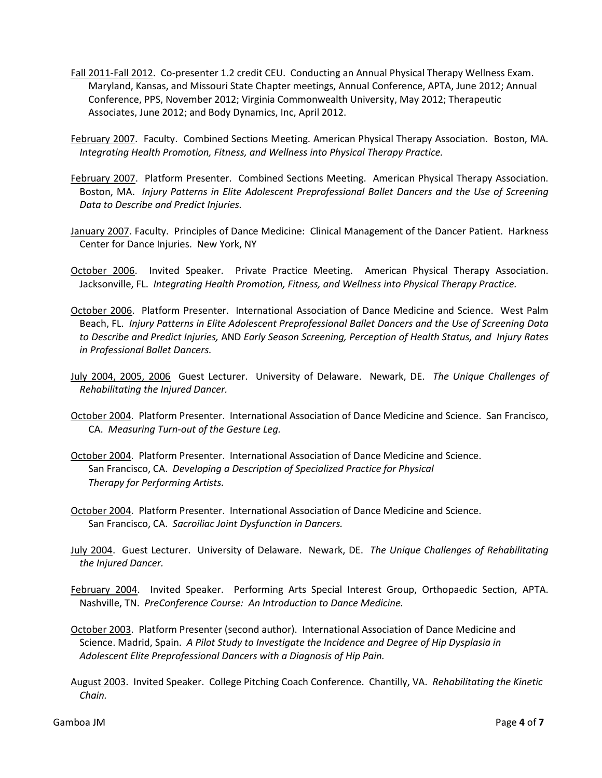- Fall 2011-Fall 2012. Co-presenter 1.2 credit CEU. Conducting an Annual Physical Therapy Wellness Exam. Maryland, Kansas, and Missouri State Chapter meetings, Annual Conference, APTA, June 2012; Annual Conference, PPS, November 2012; Virginia Commonwealth University, May 2012; Therapeutic Associates, June 2012; and Body Dynamics, Inc, April 2012.
- February 2007. Faculty. Combined Sections Meeting. American Physical Therapy Association. Boston, MA. *Integrating Health Promotion, Fitness, and Wellness into Physical Therapy Practice.*
- February 2007. Platform Presenter. Combined Sections Meeting. American Physical Therapy Association. Boston, MA. *Injury Patterns in Elite Adolescent Preprofessional Ballet Dancers and the Use of Screening Data to Describe and Predict Injuries.*
- January 2007. Faculty. Principles of Dance Medicine: Clinical Management of the Dancer Patient. Harkness Center for Dance Injuries. New York, NY
- October 2006. Invited Speaker. Private Practice Meeting. American Physical Therapy Association. Jacksonville, FL. *Integrating Health Promotion, Fitness, and Wellness into Physical Therapy Practice.*
- October 2006. Platform Presenter. International Association of Dance Medicine and Science. West Palm Beach, FL. *Injury Patterns in Elite Adolescent Preprofessional Ballet Dancers and the Use of Screening Data to Describe and Predict Injuries,* AND *Early Season Screening, Perception of Health Status, and Injury Rates in Professional Ballet Dancers.*
- July 2004, 2005, 2006 Guest Lecturer. University of Delaware. Newark, DE. *The Unique Challenges of Rehabilitating the Injured Dancer.*
- October 2004. Platform Presenter. International Association of Dance Medicine and Science. San Francisco, CA. *Measuring Turn-out of the Gesture Leg.*
- October 2004. Platform Presenter. International Association of Dance Medicine and Science. San Francisco, CA. *Developing a Description of Specialized Practice for Physical Therapy for Performing Artists.*
- October 2004. Platform Presenter. International Association of Dance Medicine and Science. San Francisco, CA. *Sacroiliac Joint Dysfunction in Dancers.*
- July 2004. Guest Lecturer. University of Delaware. Newark, DE. *The Unique Challenges of Rehabilitating the Injured Dancer.*
- February 2004. Invited Speaker. Performing Arts Special Interest Group, Orthopaedic Section, APTA. Nashville, TN. *PreConference Course: An Introduction to Dance Medicine.*
- October 2003. Platform Presenter (second author). International Association of Dance Medicine and Science. Madrid, Spain. *A Pilot Study to Investigate the Incidence and Degree of Hip Dysplasia in Adolescent Elite Preprofessional Dancers with a Diagnosis of Hip Pain.*
- August 2003. Invited Speaker. College Pitching Coach Conference. Chantilly, VA. *Rehabilitating the Kinetic Chain.*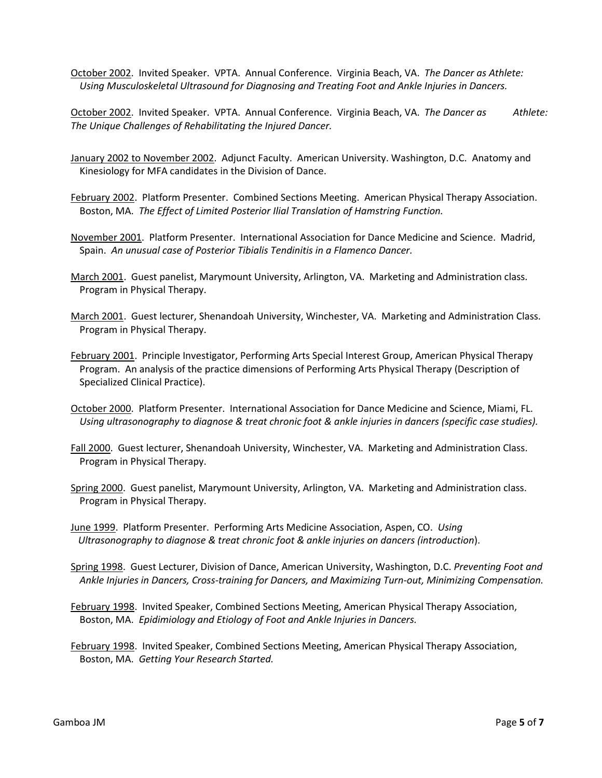October 2002. Invited Speaker. VPTA. Annual Conference. Virginia Beach, VA. *The Dancer as Athlete: Using Musculoskeletal Ultrasound for Diagnosing and Treating Foot and Ankle Injuries in Dancers.*

October 2002. Invited Speaker. VPTA. Annual Conference. Virginia Beach, VA. *The Dancer as Athlete: The Unique Challenges of Rehabilitating the Injured Dancer.*

- January 2002 to November 2002. Adjunct Faculty. American University. Washington, D.C. Anatomy and Kinesiology for MFA candidates in the Division of Dance.
- February 2002. Platform Presenter. Combined Sections Meeting. American Physical Therapy Association. Boston, MA. *The Effect of Limited Posterior Ilial Translation of Hamstring Function.*
- November 2001. Platform Presenter. International Association for Dance Medicine and Science. Madrid, Spain. *An unusual case of Posterior Tibialis Tendinitis in a Flamenco Dancer.*
- March 2001. Guest panelist, Marymount University, Arlington, VA. Marketing and Administration class. Program in Physical Therapy.
- March 2001. Guest lecturer, Shenandoah University, Winchester, VA. Marketing and Administration Class. Program in Physical Therapy.
- February 2001. Principle Investigator, Performing Arts Special Interest Group, American Physical Therapy Program. An analysis of the practice dimensions of Performing Arts Physical Therapy (Description of Specialized Clinical Practice).
- October 2000. Platform Presenter. International Association for Dance Medicine and Science, Miami, FL. *Using ultrasonography to diagnose & treat chronic foot & ankle injuries in dancers (specific case studies).*
- Fall 2000. Guest lecturer, Shenandoah University, Winchester, VA. Marketing and Administration Class. Program in Physical Therapy.
- Spring 2000. Guest panelist, Marymount University, Arlington, VA. Marketing and Administration class. Program in Physical Therapy.
- June 1999. Platform Presenter. Performing Arts Medicine Association, Aspen, CO. *Using Ultrasonography to diagnose & treat chronic foot & ankle injuries on dancers (introduction*).
- Spring 1998. Guest Lecturer, Division of Dance, American University, Washington, D.C. *Preventing Foot and Ankle Injuries in Dancers, Cross-training for Dancers, and Maximizing Turn-out, Minimizing Compensation.*
- February 1998. Invited Speaker, Combined Sections Meeting, American Physical Therapy Association, Boston, MA. *Epidimiology and Etiology of Foot and Ankle Injuries in Dancers.*
- February 1998. Invited Speaker, Combined Sections Meeting, American Physical Therapy Association, Boston, MA. *Getting Your Research Started.*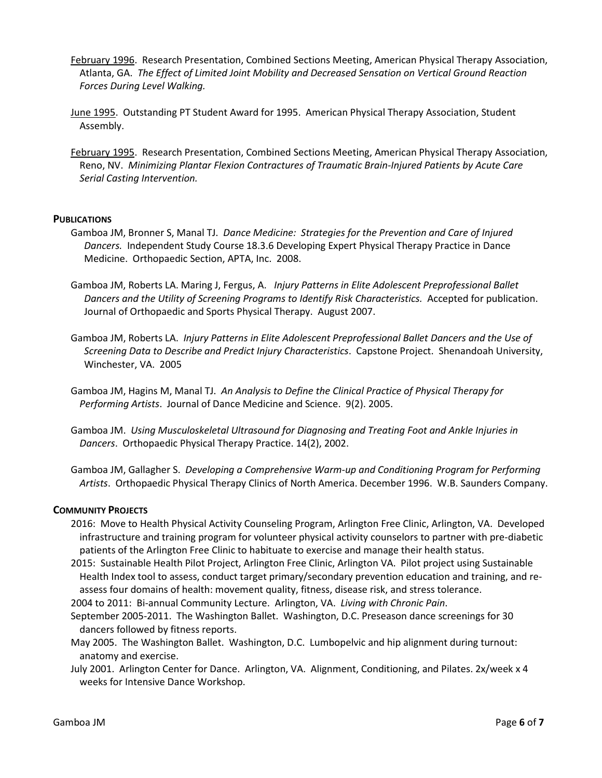- February 1996. Research Presentation, Combined Sections Meeting, American Physical Therapy Association, Atlanta, GA. *The Effect of Limited Joint Mobility and Decreased Sensation on Vertical Ground Reaction Forces During Level Walking.*
- June 1995. Outstanding PT Student Award for 1995. American Physical Therapy Association, Student Assembly.
- February 1995. Research Presentation, Combined Sections Meeting, American Physical Therapy Association, Reno, NV. *Minimizing Plantar Flexion Contractures of Traumatic Brain-Injured Patients by Acute Care Serial Casting Intervention.*

## **PUBLICATIONS**

- Gamboa JM, Bronner S, Manal TJ. *Dance Medicine: Strategies for the Prevention and Care of Injured Dancers.* Independent Study Course 18.3.6 Developing Expert Physical Therapy Practice in Dance Medicine. Orthopaedic Section, APTA, Inc. 2008.
- Gamboa JM, Roberts LA. Maring J, Fergus, A. *Injury Patterns in Elite Adolescent Preprofessional Ballet Dancers and the Utility of Screening Programs to Identify Risk Characteristics.* Accepted for publication. Journal of Orthopaedic and Sports Physical Therapy. August 2007.
- Gamboa JM, Roberts LA. *Injury Patterns in Elite Adolescent Preprofessional Ballet Dancers and the Use of Screening Data to Describe and Predict Injury Characteristics*. Capstone Project. Shenandoah University, Winchester, VA. 2005
- Gamboa JM, Hagins M, Manal TJ. *An Analysis to Define the Clinical Practice of Physical Therapy for Performing Artists*. Journal of Dance Medicine and Science. 9(2). 2005.
- Gamboa JM. *Using Musculoskeletal Ultrasound for Diagnosing and Treating Foot and Ankle Injuries in Dancers*. Orthopaedic Physical Therapy Practice. 14(2), 2002.
- Gamboa JM, Gallagher S. *Developing a Comprehensive Warm-up and Conditioning Program for Performing Artists*. Orthopaedic Physical Therapy Clinics of North America. December 1996. W.B. Saunders Company.

### **COMMUNITY PROJECTS**

- 2016: Move to Health Physical Activity Counseling Program, Arlington Free Clinic, Arlington, VA. Developed infrastructure and training program for volunteer physical activity counselors to partner with pre-diabetic patients of the Arlington Free Clinic to habituate to exercise and manage their health status.
- 2015: Sustainable Health Pilot Project, Arlington Free Clinic, Arlington VA. Pilot project using Sustainable Health Index tool to assess, conduct target primary/secondary prevention education and training, and reassess four domains of health: movement quality, fitness, disease risk, and stress tolerance.
- 2004 to 2011: Bi-annual Community Lecture. Arlington, VA. *Living with Chronic Pain*.
- September 2005-2011. The Washington Ballet. Washington, D.C. Preseason dance screenings for 30 dancers followed by fitness reports.
- May 2005. The Washington Ballet. Washington, D.C. Lumbopelvic and hip alignment during turnout: anatomy and exercise.
- July 2001. Arlington Center for Dance. Arlington, VA. Alignment, Conditioning, and Pilates. 2x/week x 4 weeks for Intensive Dance Workshop.